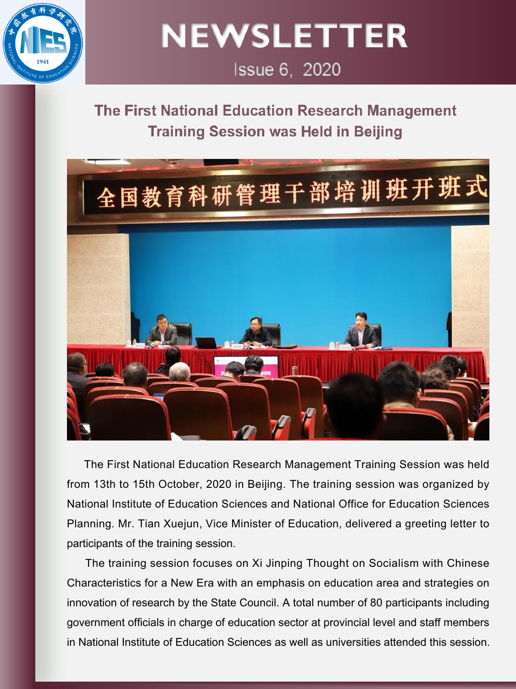

**NEWSLETTER** 

# Issue 6, 2020

## The First National Education Research Management **Training Session was Held in Beijing**



The First National Education Research Management Training Session was held from 13th to 15th October, 2020 in Beijing. The training session was organized by National Institute of Education Sciences and National Office for Education Sciences Planning. Mr. Tian Xuejun, Vice Minister of Education, delivered a greeting letter to participants of the training session.

The training session focuses on Xi Jinping Thought on Socialism with Chinese Characteristics for a New Era with an emphasis on education area and strategies on innovation of research by the State Council. A total number of 80 participants including government officials in charge of education sector at provincial level and staff members in National Institute of Education Sciences as well as universities attended this session.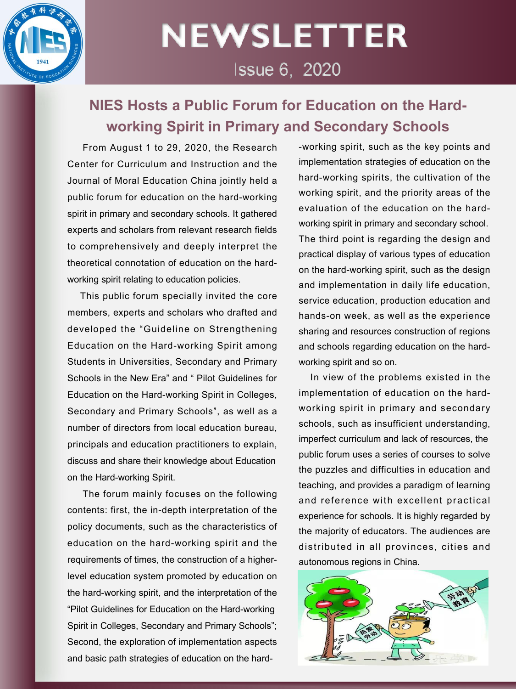

# **NEWSLETTER** Issue 6, 2020

## **NIES Hosts a Public Forum for Education on the Hard working Spirit in Primary and Secondary Schools**

From August 1 to 29, 2020, the Research Center for Curriculum and Instruction and the Journal of Moral Education China jointly held a public forum for education on the hard-working spirit in primary and secondary schools. It gathered experts and scholars from relevant research fields to comprehensively and deeply interpret the theoretical connotation of education on the hard working spirit relating to education policies.

This public forum specially invited the core members, experts and scholars who drafted and developed the "Guideline on Strengthening Education on the Hard-working Spirit among Students in Universities, Secondary and Primary Schools in the New Era" and " Pilot Guidelines for Education on the Hard-working Spirit in Colleges, Secondary and Primary Schools", as well as a number of directors from local education bureau, principals and education practitioners to explain, discuss and share their knowledge about Education on the Hard-working Spirit.

The forum mainly focuses on the following contents: first, the in-depth interpretation of the policy documents, such as the characteristics of education on the hard-working spirit and the requirements of times, the construction of a higherlevel education system promoted by education on the hard-working spirit, and the interpretation of the "Pilot Guidelines for Education on the Hard-working Spirit in Colleges, Secondary and Primary Schools"; Second, the exploration of implementation aspects and basic path strategies of education on the hard-working spirit, such as the key points and implementation strategies of education on the hard-working spirits, the cultivation of the working spirit, and the priority areas of the evaluation of the education on the hard working spirit in primary and secondary school. The third point is regarding the design and practical display of various types of education on the hard-working spirit, such as the design and implementation in daily life education, service education, production education and hands-on week, as well as the experience sharing and resources construction of regions and schools regarding education on the hard working spirit and so on.

In view of the problems existed in the implementation of education on the hard working spirit in primary and secondary schools, such as insufficient understanding, imperfect curriculum and lack of resources, the public forum uses a series of courses to solve the puzzles and difficulties in education and teaching, and provides a paradigm of learning and reference with excellent practical experience for schools. It is highly regarded by the majority of educators. The audiences are distributed in all provinces, cities and autonomous regions in China.

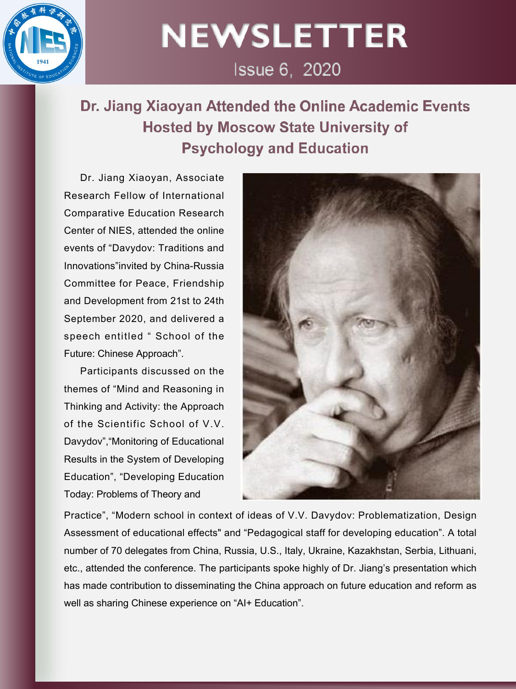

# **NEWSLETTER**

Issue 6, 2020

Dr. Jiang Xiaoyan Attended the Online Academic Events **Hosted by Moscow State University of Psychology and Education** 

Dr. Jiang Xiaoyan, Associate Research Fellow of International Comparative Education Research Center of NIES, attended the online events of "Davydov: Traditions and Innovations"invited by China-Russia Committee for Peace, Friendship and Development from 21st to 24th September 2020, and delivered a speech entitled " School of the Future: Chinese Approach".

Participants discussed on the themes of "Mind and Reasoning in Thinking and Activity: the Approach of the Scientific School of V.V. Davydov","Monitoring of Educational Results in the System of Developing Education", "Developing Education Today: Problems of Theory and



Practice", "Modern school in context of ideas of V.V. Davydov: Problematization, Design Assessment of educational effects" and "Pedagogical staff for developing education". A total number of70 delegates from China, Russia, U.S., Italy, Ukraine, Kazakhstan, Serbia, Lithuani, etc., attended the conference. The participants spoke highly of Dr. Jiang's presentation which has made contribution to disseminating the China approach on future education and reform as well as sharing Chinese experience on "AI+ Education".